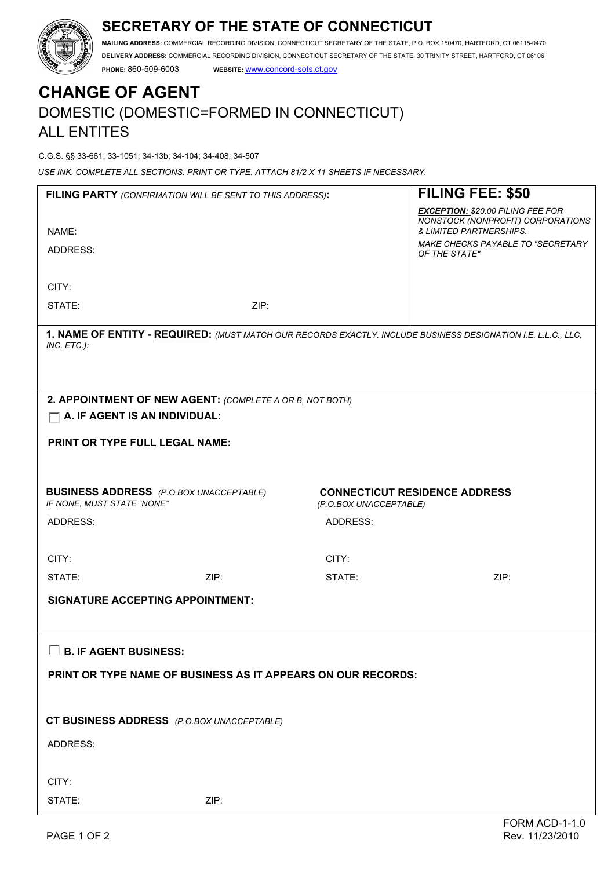# **SECRETARY OF THE STATE OF CONNECTICUT**



**MAILING ADDRESS:** COMMERCIAL RECORDING DIVISION, CONNECTICUT SECRETARY OF THE STATE, P.O. BOX 150470, HARTFORD, CT 06115-0470 **DELIVERY ADDRESS:** COMMERCIAL RECORDING DIVISION, CONNECTICUT SECRETARY OF THE STATE, 30 TRINITY STREET, HARTFORD, CT 06106 **PHONE:** 860-509-6003 **WEBSITE:** www.concord-sots.ct.gov

# **CHANGE OF AGENT**  DOMESTIC (DOMESTIC=FORMED IN CONNECTICUT) ALL ENTITES

C.G.S. §§ 33-661; 33-1051; 34-13b; 34-104; 34-408; 34-507

*USE INK. COMPLETE ALL SECTIONS. PRINT OR TYPE. ATTACH 81/2 X 11 SHEETS IF NECESSARY.*

| FILING PARTY (CONFIRMATION WILL BE SENT TO THIS ADDRESS):                                                                    |      |          | FILING FEE: \$50                                                              |  |
|------------------------------------------------------------------------------------------------------------------------------|------|----------|-------------------------------------------------------------------------------|--|
|                                                                                                                              |      |          | <b>EXCEPTION: \$20.00 FILING FEE FOR</b><br>NONSTOCK (NONPROFIT) CORPORATIONS |  |
| NAME:                                                                                                                        |      |          | & LIMITED PARTNERSHIPS.                                                       |  |
| ADDRESS:                                                                                                                     |      |          | MAKE CHECKS PAYABLE TO "SECRETARY<br>OF THE STATE"                            |  |
|                                                                                                                              |      |          |                                                                               |  |
| CITY:                                                                                                                        |      |          |                                                                               |  |
| STATE:                                                                                                                       | ZIP: |          |                                                                               |  |
| 1. NAME OF ENTITY - REQUIRED: (MUST MATCH OUR RECORDS EXACTLY. INCLUDE BUSINESS DESIGNATION I.E. L.L.C., LLC,<br>INC, ETC.): |      |          |                                                                               |  |
|                                                                                                                              |      |          |                                                                               |  |
| 2. APPOINTMENT OF NEW AGENT: (COMPLETE A OR B, NOT BOTH)<br>$\Box$ A. IF AGENT IS AN INDIVIDUAL:                             |      |          |                                                                               |  |
| PRINT OR TYPE FULL LEGAL NAME:                                                                                               |      |          |                                                                               |  |
|                                                                                                                              |      |          |                                                                               |  |
|                                                                                                                              |      |          |                                                                               |  |
| <b>BUSINESS ADDRESS</b> (P.O.BOX UNACCEPTABLE)<br>IF NONE, MUST STATE "NONE"                                                 |      |          | <b>CONNECTICUT RESIDENCE ADDRESS</b><br>(P.O.BOX UNACCEPTABLE)                |  |
| ADDRESS:                                                                                                                     |      | ADDRESS: |                                                                               |  |
|                                                                                                                              |      |          |                                                                               |  |
| CITY:                                                                                                                        |      | CITY:    |                                                                               |  |
| STATE:                                                                                                                       | ZIP: | STATE:   | ZIP:                                                                          |  |
| <b>SIGNATURE ACCEPTING APPOINTMENT:</b>                                                                                      |      |          |                                                                               |  |
|                                                                                                                              |      |          |                                                                               |  |
| $\Box$ B. IF AGENT BUSINESS:                                                                                                 |      |          |                                                                               |  |
| PRINT OR TYPE NAME OF BUSINESS AS IT APPEARS ON OUR RECORDS:                                                                 |      |          |                                                                               |  |
|                                                                                                                              |      |          |                                                                               |  |
| CT BUSINESS ADDRESS (P.O.BOX UNACCEPTABLE)                                                                                   |      |          |                                                                               |  |
| <b>ADDRESS:</b>                                                                                                              |      |          |                                                                               |  |
|                                                                                                                              |      |          |                                                                               |  |
| CITY:                                                                                                                        |      |          |                                                                               |  |
| STATE:                                                                                                                       | ZIP: |          |                                                                               |  |
|                                                                                                                              |      |          |                                                                               |  |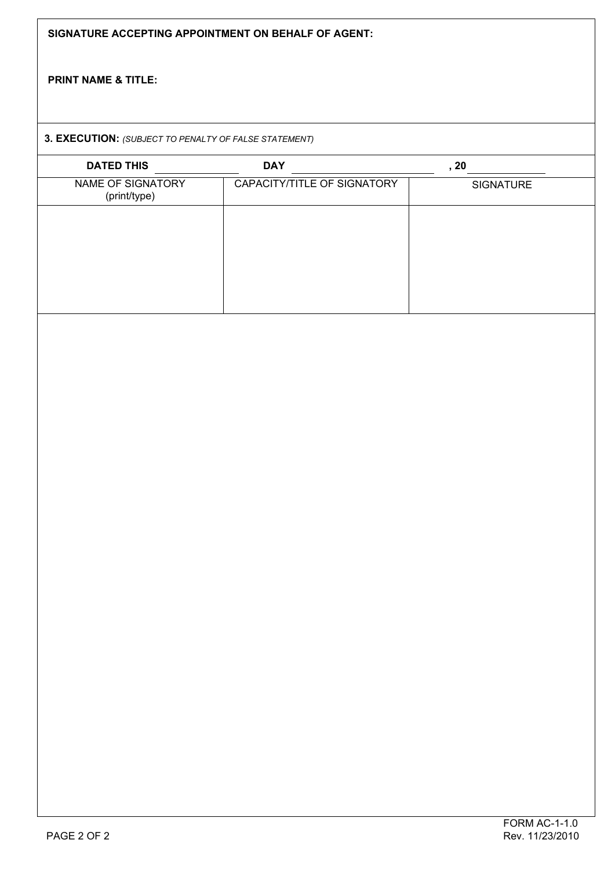| SIGNATURE ACCEPTING APPOINTMENT ON BEHALF OF AGENT:<br><b>PRINT NAME &amp; TITLE:</b> |                             |           |  |  |  |
|---------------------------------------------------------------------------------------|-----------------------------|-----------|--|--|--|
|                                                                                       |                             |           |  |  |  |
| <b>DATED THIS</b>                                                                     | <b>DAY</b>                  | , 20      |  |  |  |
| NAME OF SIGNATORY<br>(print/type)                                                     | CAPACITY/TITLE OF SIGNATORY | SIGNATURE |  |  |  |
|                                                                                       |                             |           |  |  |  |
|                                                                                       |                             |           |  |  |  |
|                                                                                       |                             |           |  |  |  |
|                                                                                       |                             |           |  |  |  |
|                                                                                       |                             |           |  |  |  |
|                                                                                       |                             |           |  |  |  |
|                                                                                       |                             |           |  |  |  |
|                                                                                       |                             |           |  |  |  |
|                                                                                       |                             |           |  |  |  |
|                                                                                       |                             |           |  |  |  |
|                                                                                       |                             |           |  |  |  |
|                                                                                       |                             |           |  |  |  |
|                                                                                       |                             |           |  |  |  |
|                                                                                       |                             |           |  |  |  |
|                                                                                       |                             |           |  |  |  |
|                                                                                       |                             |           |  |  |  |
|                                                                                       |                             |           |  |  |  |
|                                                                                       |                             |           |  |  |  |
|                                                                                       |                             |           |  |  |  |
|                                                                                       |                             |           |  |  |  |
|                                                                                       |                             |           |  |  |  |
|                                                                                       |                             |           |  |  |  |
|                                                                                       |                             |           |  |  |  |